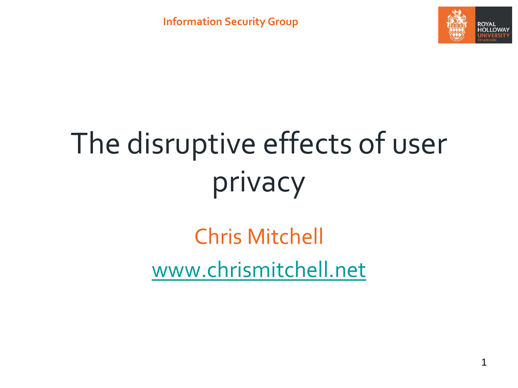

# The disruptive effects of user privacy

Chris Mitchell [www.chrismitchell.net](http://www.chrismitchell.net/)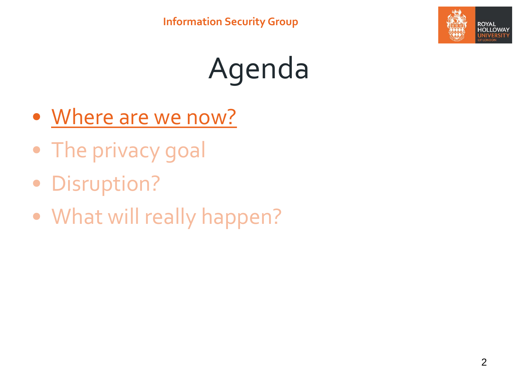

## Agenda

- Where are we now?
- The privacy goal
- Disruption?
- What will really happen?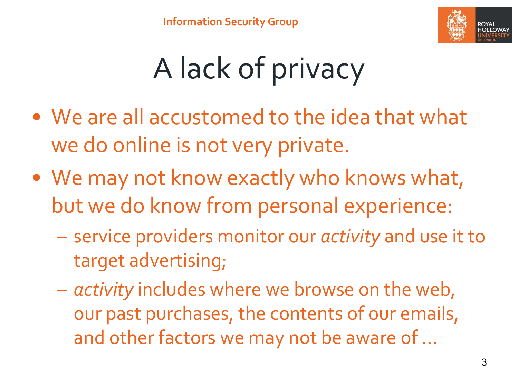

## A lack of privacy

- We are all accustomed to the idea that what we do online is not very private.
- We may not know exactly who knows what, but we do know from personal experience:
	- service providers monitor our *activity* and use it to target advertising;
	- *activity* includes where we browse on the web, our past purchases, the contents of our emails, and other factors we may not be aware of …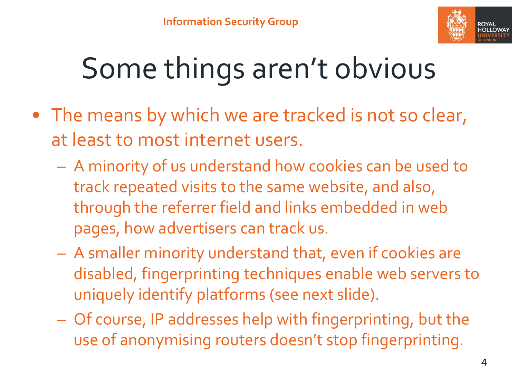

## Some things aren't obvious

- The means by which we are tracked is not so clear, at least to most internet users.
	- A minority of us understand how cookies can be used to track repeated visits to the same website, and also, through the referrer field and links embedded in web pages, how advertisers can track us.
	- A smaller minority understand that, even if cookies are disabled, fingerprinting techniques enable web servers to uniquely identify platforms (see next slide).
	- Of course, IP addresses help with fingerprinting, but the use of anonymising routers doesn't stop fingerprinting.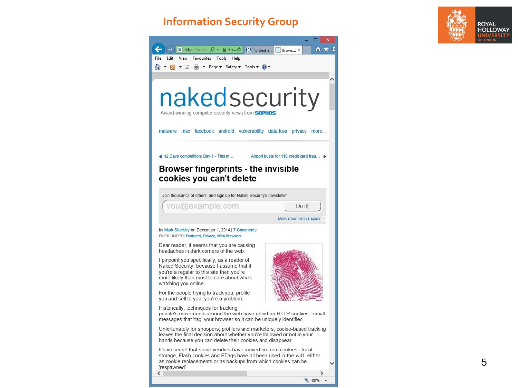#### **Information Security Group**



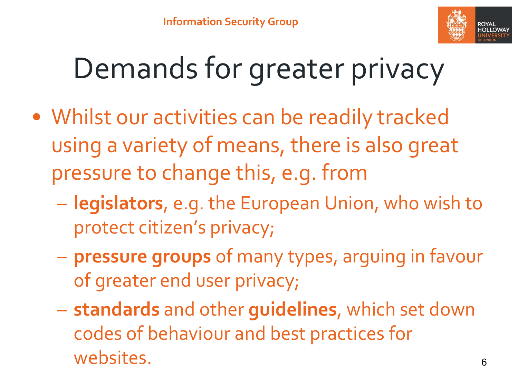

#### Demands for greater privacy

- Whilst our activities can be readily tracked using a variety of means, there is also great pressure to change this, e.g. from
	- **legislators**, e.g. the European Union, who wish to protect citizen's privacy;
	- **pressure groups** of many types, arguing in favour of greater end user privacy;
	- **standards** and other **guidelines**, which set down codes of behaviour and best practices for websites.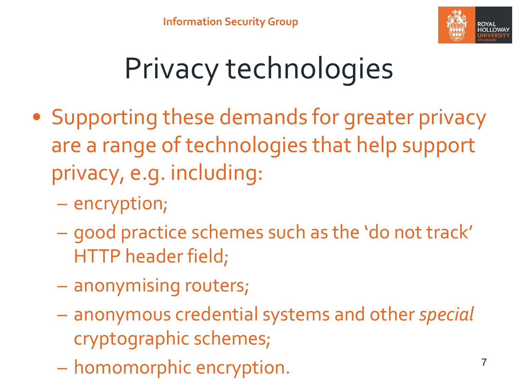

### Privacy technologies

- Supporting these demands for greater privacy are a range of technologies that help support privacy, e.g. including:
	- encryption;
	- good practice schemes such as the 'do not track' HTTP header field;
	- anonymising routers;
	- anonymous credential systems and other *special*  cryptographic schemes;
	- homomorphic encryption.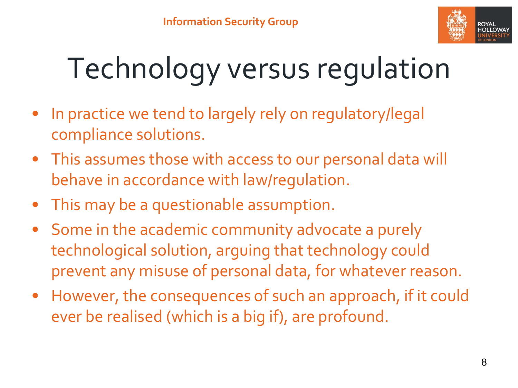

# Technology versus regulation

- In practice we tend to largely rely on regulatory/legal compliance solutions.
- This assumes those with access to our personal data will behave in accordance with law/regulation.
- This may be a questionable assumption.
- Some in the academic community advocate a purely technological solution, arguing that technology could prevent any misuse of personal data, for whatever reason.
- However, the consequences of such an approach, if it could ever be realised (which is a big if), are profound.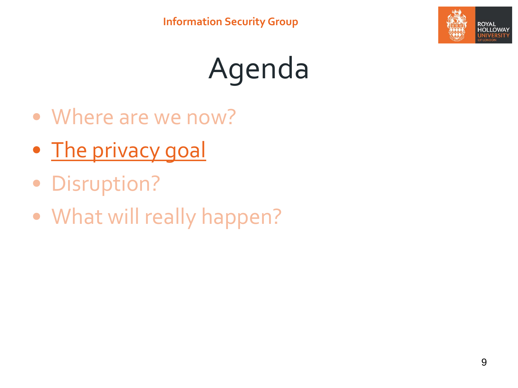

## Agenda

- Where are we now?
- The privacy goal
- Disruption?
- What will really happen?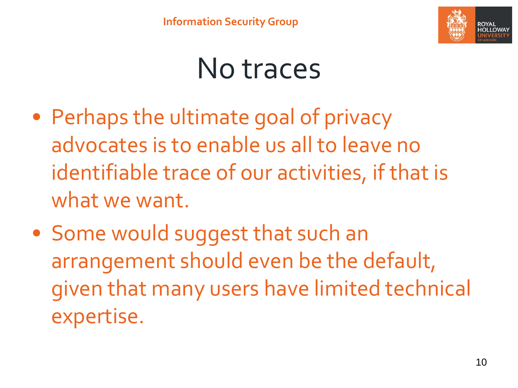

#### No traces

- Perhaps the ultimate goal of privacy advocates is to enable us all to leave no identifiable trace of our activities, if that is what we want.
- Some would suggest that such an arrangement should even be the default, given that many users have limited technical expertise.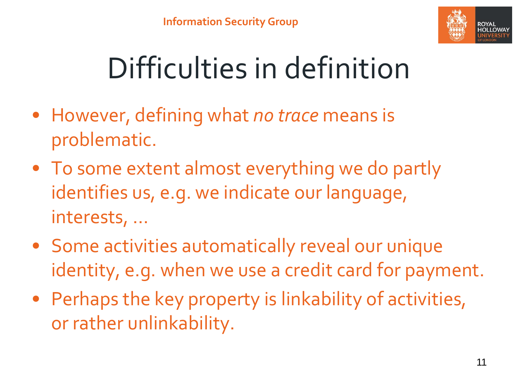

## Difficulties in definition

- However, defining what *no trace* means is problematic.
- To some extent almost everything we do partly identifies us, e.g. we indicate our language, interests, …
- Some activities automatically reveal our unique identity, e.g. when we use a credit card for payment.
- Perhaps the key property is linkability of activities, or rather unlinkability.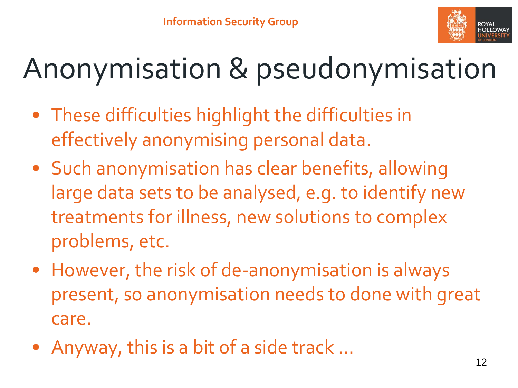

#### Anonymisation & pseudonymisation

- These difficulties highlight the difficulties in effectively anonymising personal data.
- Such anonymisation has clear benefits, allowing large data sets to be analysed, e.g. to identify new treatments for illness, new solutions to complex problems, etc.
- However, the risk of de-anonymisation is always present, so anonymisation needs to done with great care.
- Anyway, this is a bit of a side track …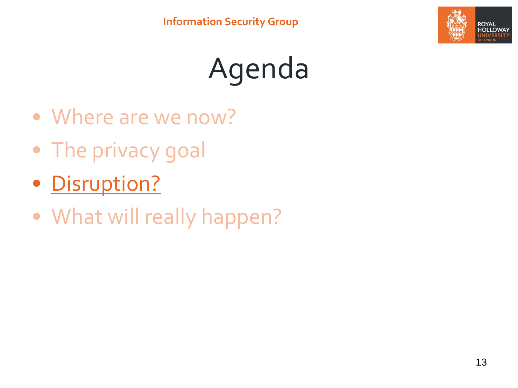

## Agenda

- Where are we now?
- The privacy goal
- Disruption?
- What will really happen?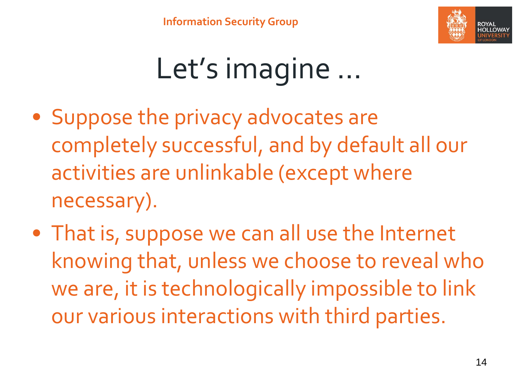

#### Let's imagine …

- Suppose the privacy advocates are completely successful, and by default all our activities are unlinkable (except where necessary).
- That is, suppose we can all use the Internet knowing that, unless we choose to reveal who we are, it is technologically impossible to link our various interactions with third parties.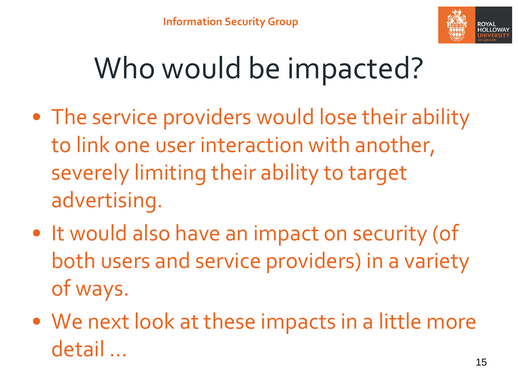

#### Who would be impacted?

- The service providers would lose their ability to link one user interaction with another, severely limiting their ability to target advertising.
- It would also have an impact on security (of both users and service providers) in a variety of ways.
- We next look at these impacts in a little more detail …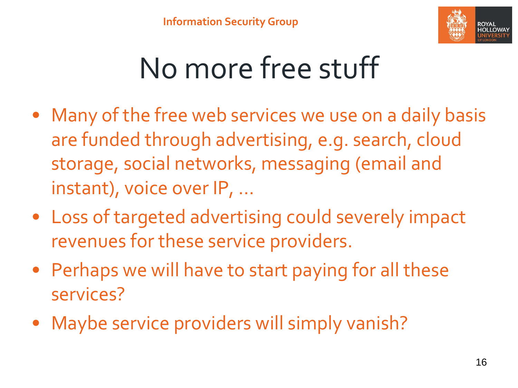

#### No more free stuff

- Many of the free web services we use on a daily basis are funded through advertising, e.g. search, cloud storage, social networks, messaging (email and instant), voice over IP, …
- Loss of targeted advertising could severely impact revenues for these service providers.
- Perhaps we will have to start paying for all these services?
- Maybe service providers will simply vanish?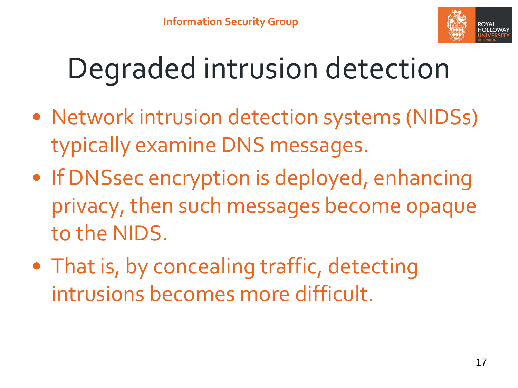

#### Degraded intrusion detection

- Network intrusion detection systems (NIDSs) typically examine DNS messages.
- If DNSsec encryption is deployed, enhancing privacy, then such messages become opaque to the NIDS.
- That is, by concealing traffic, detecting intrusions becomes more difficult.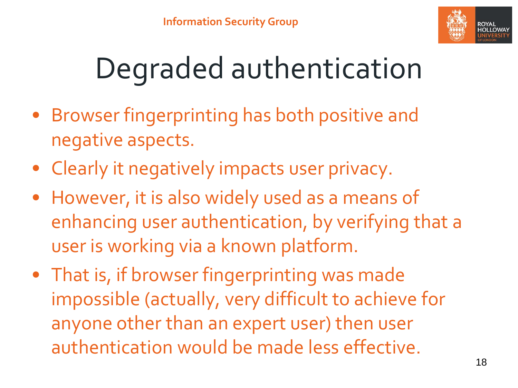

## Degraded authentication

- Browser fingerprinting has both positive and negative aspects.
- Clearly it negatively impacts user privacy.
- However, it is also widely used as a means of enhancing user authentication, by verifying that a user is working via a known platform.
- That is, if browser fingerprinting was made impossible (actually, very difficult to achieve for anyone other than an expert user) then user authentication would be made less effective.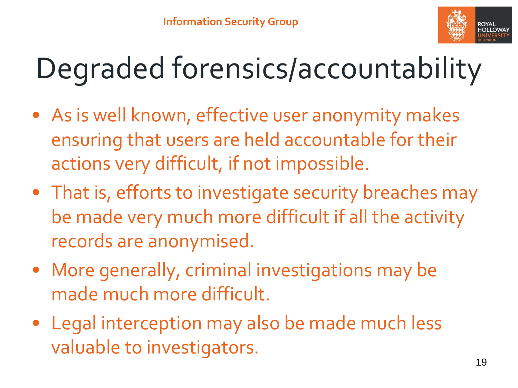

## Degraded forensics/accountability

- As is well known, effective user anonymity makes ensuring that users are held accountable for their actions very difficult, if not impossible.
- That is, efforts to investigate security breaches may be made very much more difficult if all the activity records are anonymised.
- More generally, criminal investigations may be made much more difficult.
- Legal interception may also be made much less valuable to investigators.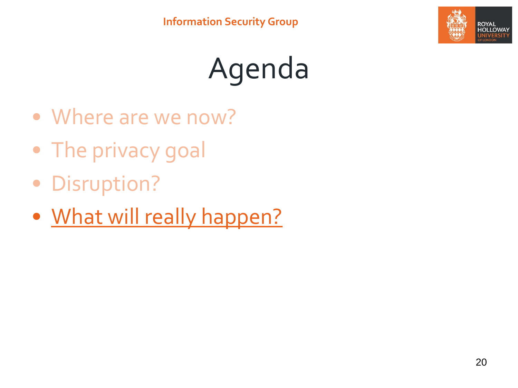

## Agenda

- Where are we now?
- The privacy goal
- Disruption?
- What will really happen?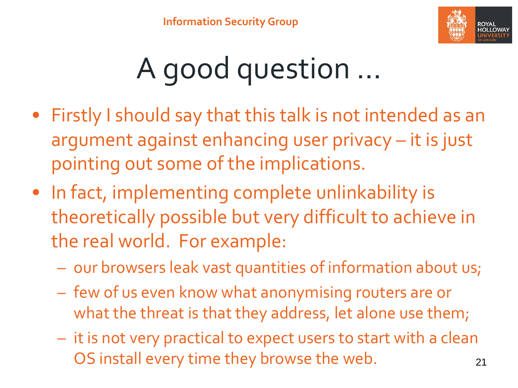

## A good question …

- Firstly I should say that this talk is not intended as an argument against enhancing user privacy – it is just pointing out some of the implications.
- In fact, implementing complete unlinkability is theoretically possible but very difficult to achieve in the real world. For example:
	- our browsers leak vast quantities of information about us;
	- few of us even know what anonymising routers are or what the threat is that they address, let alone use them;
	- it is not very practical to expect users to start with a clean OS install every time they browse the web. 21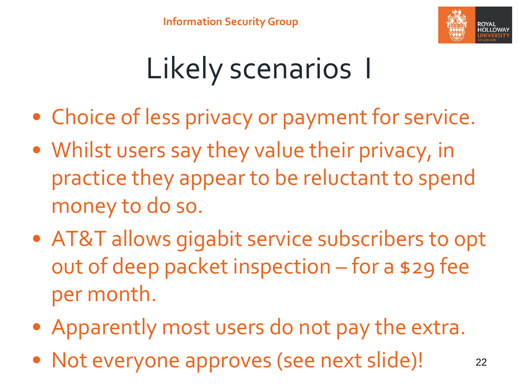

### Likely scenarios I

- Choice of less privacy or payment for service.
- Whilst users say they value their privacy, in practice they appear to be reluctant to spend money to do so.
- AT&T allows gigabit service subscribers to opt out of deep packet inspection – for a \$29 fee per month.
- Apparently most users do not pay the extra.
- Not everyone approves (see next slide)! 22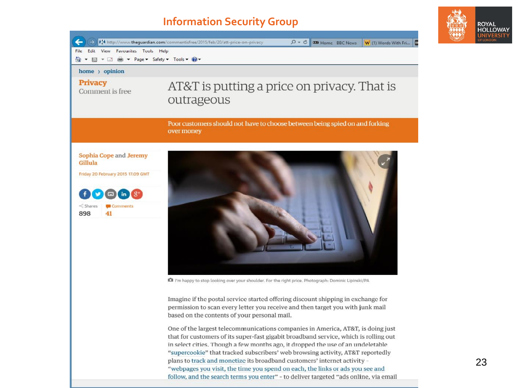#### **Information Security Group**



Imagine if the postal service started offering discount shipping in exchange for permission to scan every letter you receive and then target you with junk mail based on the contents of your personal mail.

One of the largest telecommunications companies in America, AT&T, is doing just that for customers of its super-fast gigabit broadband service, which is rolling out in select cities. Though a few months ago, it dropped the use of an undeletable "supercookie" that tracked subscribers' web browsing activity, AT&T reportedly plans to track and monetize its broadband customers' internet activity -"webpages you visit, the time you spend on each, the links or ads you see and follow, and the search terms you enter" - to deliver targeted "ads online, via email ROYAL HOLLOWAY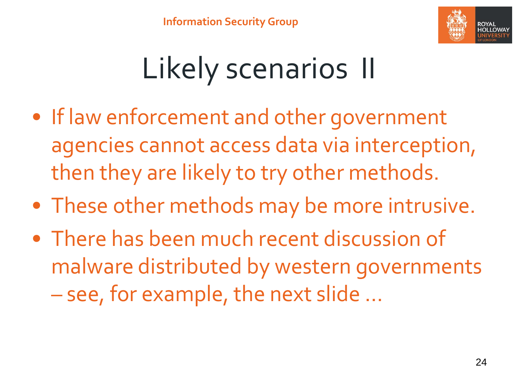

### Likely scenarios II

- If law enforcement and other government agencies cannot access data via interception, then they are likely to try other methods.
- These other methods may be more intrusive.
- There has been much recent discussion of malware distributed by western governments – see, for example, the next slide …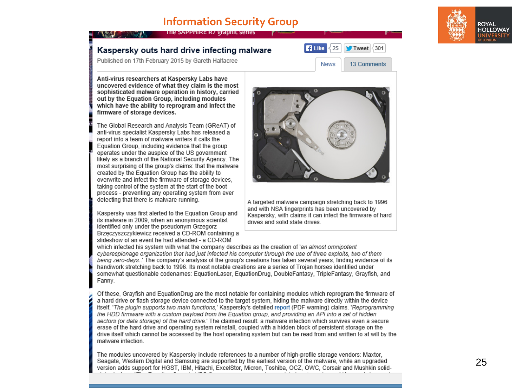#### **Information Security Group**

The SAPPHIRE R/ graphic series



#### Kaspersky outs hard drive infecting malware

Published on 17th February 2015 by Gareth Halfacree

Anti-virus researchers at Kaspersky Labs have uncovered evidence of what they claim is the most sophisticated malware operation in history, carried out by the Equation Group, including modules which have the ability to reprogram and infect the firmware of storage devices.

The Global Research and Analysis Team (GReAT) of anti-virus specialist Kaspersky Labs has released a report into a team of malware writers it calls the Equation Group, including evidence that the group operates under the auspice of the US government likely as a branch of the National Security Agency. The most surprising of the group's claims: that the malware created by the Equation Group has the ability to overwrite and infect the firmware of storage devices. taking control of the system at the start of the boot process - preventing any operating system from ever detecting that there is malware running.

Kaspersky was first alerted to the Equation Group and its malware in 2009, when an anonymous scientist identified only under the pseudonym Grzegorz Brzęczyszczykiewicz received a CD-ROM containing a slideshow of an event he had attended - a CD-ROM



**B** Like

25

**News** 

Tweet 301

13 Comments

A targeted malware campaign stretching back to 1996 and with NSA fingerprints has been uncovered by Kaspersky, with claims it can infect the firmware of hard drives and solid state drives

which infected his system with what the company describes as the creation of 'an almost omnipotent cyberespionage organization that had just infected his computer through the use of three exploits, two of them being zero-days..' The company's analysis of the group's creations has taken several years, finding evidence of its handiwork stretching back to 1996. Its most notable creations are a series of Troian horses identified under somewhat questionable codenames: EquationLaser, EquationDrug, DoubleFantasy, TripleFantasy, Grayfish, and Fanny.

Of these, Grayfish and EquationDrug are the most notable for containing modules which reprogram the firmware of a hard drive or flash storage device connected to the target system, hiding the malware directly within the device itself. 'The plugin supports two main functions.' Kaspersky's detailed report (PDF warning) claims. 'Reprogramming the HDD firmware with a custom payload from the Equation group, and providing an API into a set of hidden sectors (or data storage) of the hard drive.' The claimed result: a malware infection which survives even a secure erase of the hard drive and operating system reinstall, coupled with a hidden block of persistent storage on the drive itself which cannot be accessed by the host operating system but can be read from and written to at will by the malware infection.

The modules uncovered by Kaspersky include references to a number of high-profile storage vendors: Maxtor, Seagate, Western Digital and Samsung are supported by the earliest version of the malware, while an upgraded version adds support for HGST, IBM, Hitachi, ExcelStor, Micron, Toshiba, OCZ, OWC, Corsair and Mushkin solid-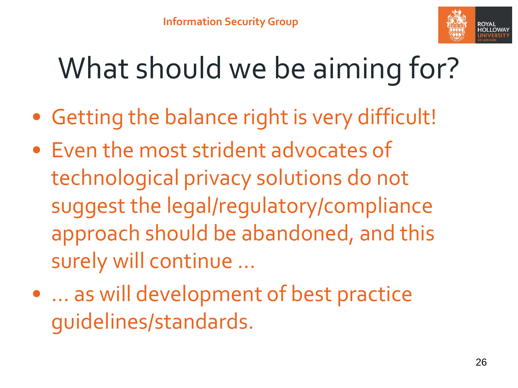

#### What should we be aiming for?

- Getting the balance right is very difficult!
- Even the most strident advocates of technological privacy solutions do not suggest the legal/regulatory/compliance approach should be abandoned, and this surely will continue …
- ... as will development of best practice guidelines/standards.